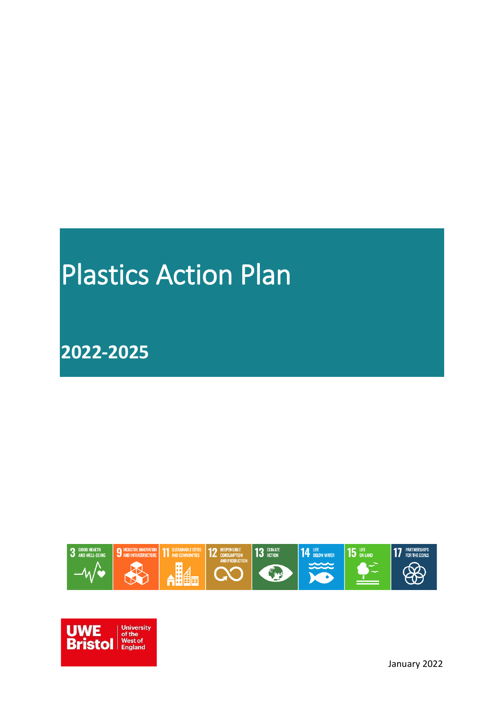# Plastics Action Plan

# **2022-2025**





January 2022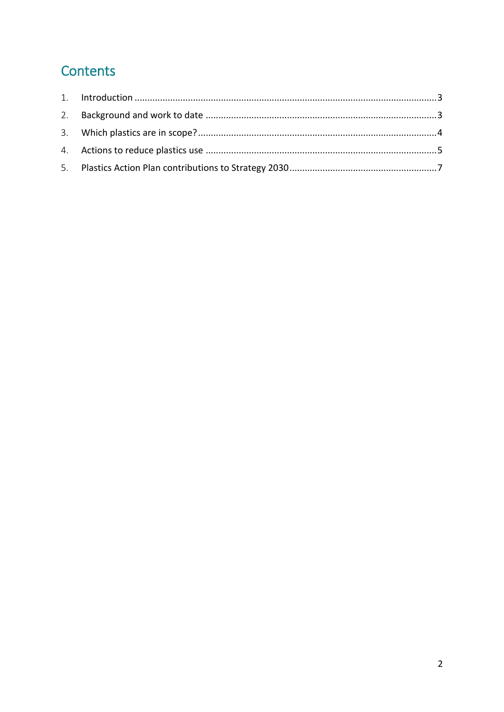## Contents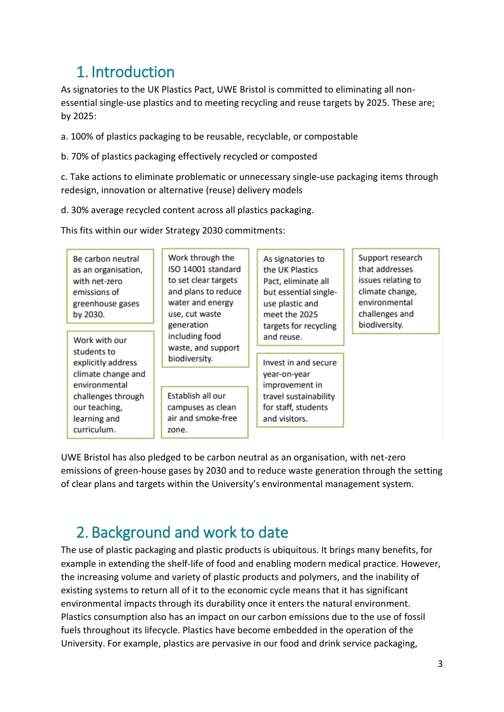#### <span id="page-2-0"></span>1. Introduction

As signatories to the UK Plastics Pact, UWE Bristol is committed to eliminating all nonessential single-use plastics and to meeting recycling and reuse targets by 2025. These are; by 2025:

a. 100% of plastics packaging to be reusable, recyclable, or compostable

b. 70% of plastics packaging effectively recycled or composted

c. Take actions to eliminate problematic or unnecessary single-use packaging items through redesign, innovation or alternative (reuse) delivery models

d. 30% average recycled content across all plastics packaging.

This fits within our wider Strategy 2030 commitments:

| Be carbon neutral<br>as an organisation,<br>with net-zero<br>emissions of<br>greenhouse gases<br>by 2030. | Work through the<br>ISO 14001 standard<br>to set clear targets<br>and plans to reduce<br>water and energy<br>use, cut waste<br>generation<br>including food<br>waste, and support<br>biodiversity. | As signatories to<br>the UK Plastics<br>Pact, eliminate all<br>but essential single-<br>use plastic and<br>meet the 2025<br>targets for recycling | Support research<br>that addresses<br>issues relating to<br>climate change,<br>environmental<br>challenges and<br>biodiversity. |
|-----------------------------------------------------------------------------------------------------------|----------------------------------------------------------------------------------------------------------------------------------------------------------------------------------------------------|---------------------------------------------------------------------------------------------------------------------------------------------------|---------------------------------------------------------------------------------------------------------------------------------|
| Work with our<br>students to                                                                              |                                                                                                                                                                                                    | and reuse.                                                                                                                                        |                                                                                                                                 |
| explicitly address<br>climate change and<br>environmental                                                 |                                                                                                                                                                                                    | Invest in and secure<br>year-on-year<br>improvement in                                                                                            |                                                                                                                                 |
| challenges through<br>our teaching,<br>learning and<br>curriculum.                                        | Establish all our<br>campuses as clean<br>air and smoke-free<br>zone.                                                                                                                              | travel sustainability<br>for staff, students<br>and visitors.                                                                                     |                                                                                                                                 |

UWE Bristol has also pledged to be carbon neutral as an organisation, with net-zero emissions of green-house gases by 2030 and to reduce waste generation through the setting of clear plans and targets within the University's environmental management system.

## <span id="page-2-1"></span>2. Background and work to date

The use of plastic packaging and plastic products is ubiquitous. It brings many benefits, for example in extending the shelf-life of food and enabling modern medical practice. However, the increasing volume and variety of plastic products and polymers, and the inability of existing systems to return all of it to the economic cycle means that it has significant environmental impacts through its durability once it enters the natural environment. Plastics consumption also has an impact on our carbon emissions due to the use of fossil fuels throughout its lifecycle. Plastics have become embedded in the operation of the University. For example, plastics are pervasive in our food and drink service packaging,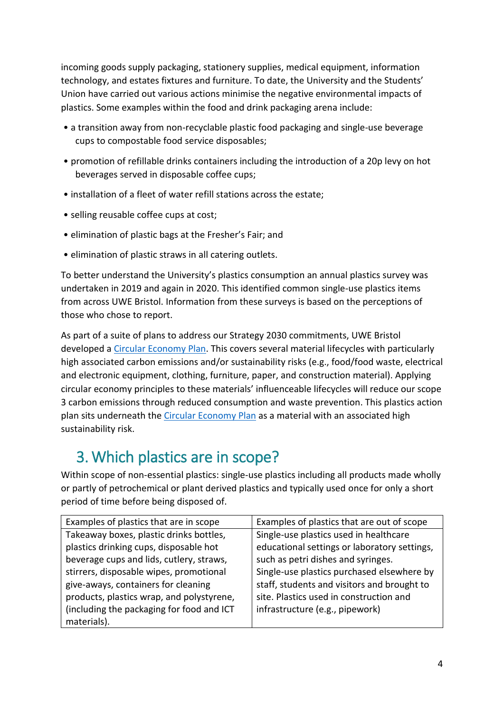incoming goods supply packaging, stationery supplies, medical equipment, information technology, and estates fixtures and furniture. To date, the University and the Students' Union have carried out various actions minimise the negative environmental impacts of plastics. Some examples within the food and drink packaging arena include:

- a transition away from non-recyclable plastic food packaging and single-use beverage cups to compostable food service disposables;
- promotion of refillable drinks containers including the introduction of a 20p levy on hot beverages served in disposable coffee cups;
- installation of a fleet of water refill stations across the estate;
- selling reusable coffee cups at cost;
- elimination of plastic bags at the Fresher's Fair; and
- elimination of plastic straws in all catering outlets.

To better understand the University's plastics consumption an annual plastics survey was undertaken in 2019 and again in 2020. This identified common single-use plastics items from across UWE Bristol. Information from these surveys is based on the perceptions of those who chose to report.

As part of a suite of plans to address our Strategy 2030 commitments, UWE Bristol developed a [Circular Economy Plan.](https://www.uwe.ac.uk/-/media/uwe/documents/about/sustainability/circular_economy_plan_2020-30.pdf) This covers several material lifecycles with particularly high associated carbon emissions and/or sustainability risks (e.g., food/food waste, electrical and electronic equipment, clothing, furniture, paper, and construction material). Applying circular economy principles to these materials' influenceable lifecycles will reduce our scope 3 carbon emissions through reduced consumption and waste prevention. This plastics action plan sits underneath the [Circular Economy Plan](https://www.uwe.ac.uk/-/media/uwe/documents/about/sustainability/circular_economy_plan_2020-30.pdf) as a material with an associated high sustainability risk.

## <span id="page-3-0"></span>3. Which plastics are in scope?

Within scope of non-essential plastics: single-use plastics including all products made wholly or partly of petrochemical or plant derived plastics and typically used once for only a short period of time before being disposed of.

| Examples of plastics that are in scope    | Examples of plastics that are out of scope   |  |
|-------------------------------------------|----------------------------------------------|--|
| Takeaway boxes, plastic drinks bottles,   | Single-use plastics used in healthcare       |  |
| plastics drinking cups, disposable hot    | educational settings or laboratory settings, |  |
| beverage cups and lids, cutlery, straws,  | such as petri dishes and syringes.           |  |
| stirrers, disposable wipes, promotional   | Single-use plastics purchased elsewhere by   |  |
| give-aways, containers for cleaning       | staff, students and visitors and brought to  |  |
| products, plastics wrap, and polystyrene, | site. Plastics used in construction and      |  |
| (including the packaging for food and ICT | infrastructure (e.g., pipework)              |  |
| materials).                               |                                              |  |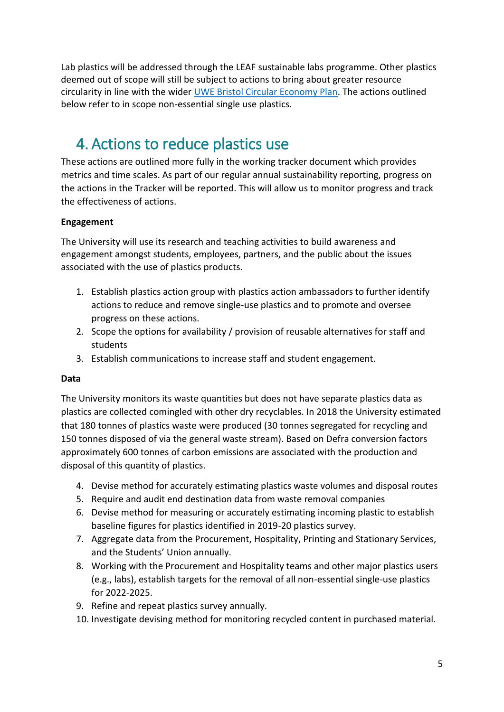Lab plastics will be addressed through the LEAF sustainable labs programme. Other plastics deemed out of scope will still be subject to actions to bring about greater resource circularity in line with the wider [UWE Bristol Circular Economy Plan.](https://www.uwe.ac.uk/-/media/uwe/documents/about/sustainability/circular_economy_plan_2020-30.pdf) The actions outlined below refer to in scope non-essential single use plastics.

## <span id="page-4-0"></span>4. Actions to reduce plastics use

These actions are outlined more fully in the working tracker document which provides metrics and time scales. As part of our regular annual sustainability reporting, progress on the actions in the Tracker will be reported. This will allow us to monitor progress and track the effectiveness of actions.

#### **Engagement**

The University will use its research and teaching activities to build awareness and engagement amongst students, employees, partners, and the public about the issues associated with the use of plastics products.

- 1. Establish plastics action group with plastics action ambassadors to further identify actions to reduce and remove single-use plastics and to promote and oversee progress on these actions.
- 2. Scope the options for availability / provision of reusable alternatives for staff and students
- 3. Establish communications to increase staff and student engagement.

#### **Data**

The University monitors its waste quantities but does not have separate plastics data as plastics are collected comingled with other dry recyclables. In 2018 the University estimated that 180 tonnes of plastics waste were produced (30 tonnes segregated for recycling and 150 tonnes disposed of via the general waste stream). Based on Defra conversion factors approximately 600 tonnes of carbon emissions are associated with the production and disposal of this quantity of plastics.

- 4. Devise method for accurately estimating plastics waste volumes and disposal routes
- 5. Require and audit end destination data from waste removal companies
- 6. Devise method for measuring or accurately estimating incoming plastic to establish baseline figures for plastics identified in 2019-20 plastics survey.
- 7. Aggregate data from the Procurement, Hospitality, Printing and Stationary Services, and the Students' Union annually.
- 8. Working with the Procurement and Hospitality teams and other major plastics users (e.g., labs), establish targets for the removal of all non-essential single-use plastics for 2022-2025.
- 9. Refine and repeat plastics survey annually.
- 10. Investigate devising method for monitoring recycled content in purchased material.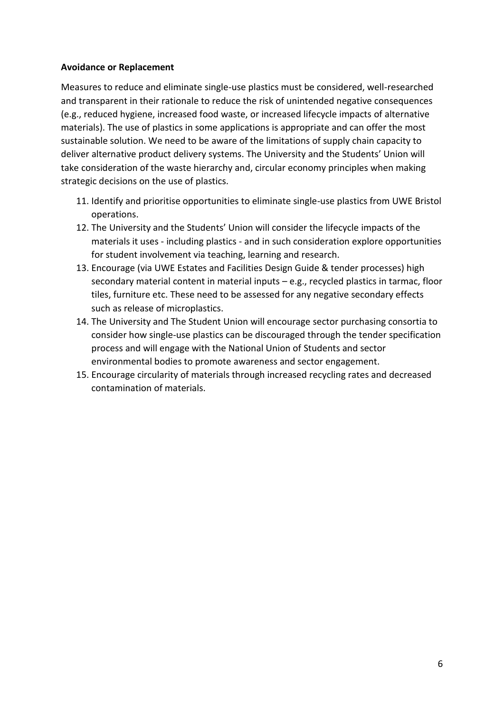#### **Avoidance or Replacement**

Measures to reduce and eliminate single-use plastics must be considered, well-researched and transparent in their rationale to reduce the risk of unintended negative consequences (e.g., reduced hygiene, increased food waste, or increased lifecycle impacts of alternative materials). The use of plastics in some applications is appropriate and can offer the most sustainable solution. We need to be aware of the limitations of supply chain capacity to deliver alternative product delivery systems. The University and the Students' Union will take consideration of the waste hierarchy and, circular economy principles when making strategic decisions on the use of plastics.

- 11. Identify and prioritise opportunities to eliminate single-use plastics from UWE Bristol operations.
- 12. The University and the Students' Union will consider the lifecycle impacts of the materials it uses - including plastics - and in such consideration explore opportunities for student involvement via teaching, learning and research.
- 13. Encourage (via UWE Estates and Facilities Design Guide & tender processes) high secondary material content in material inputs – e.g., recycled plastics in tarmac, floor tiles, furniture etc. These need to be assessed for any negative secondary effects such as release of microplastics.
- 14. The University and The Student Union will encourage sector purchasing consortia to consider how single-use plastics can be discouraged through the tender specification process and will engage with the National Union of Students and sector environmental bodies to promote awareness and sector engagement.
- 15. Encourage circularity of materials through increased recycling rates and decreased contamination of materials.